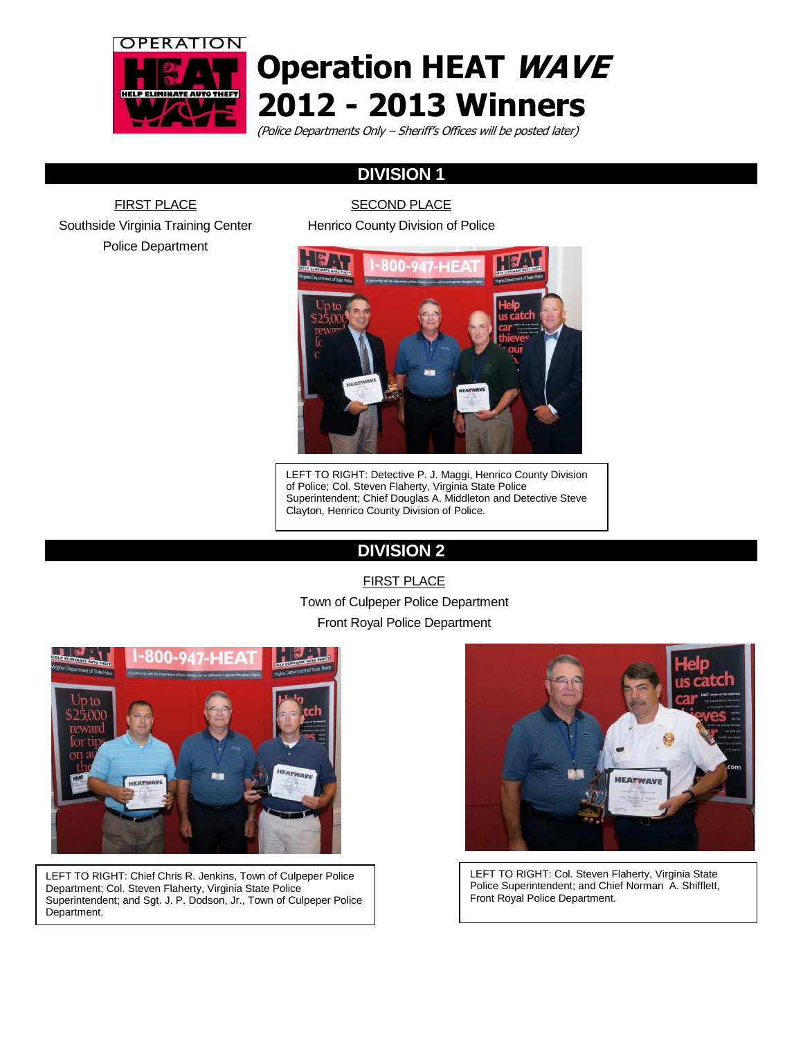

# **Operation HEAT WAVE 2012 - 2013 Winners**

(Police Departments Only – Sheriff's Offices will be posted later)

# **DIVISION 1**

FIRST PLACE Southside Virginia Training Center Police Department

SECOND PLACE

Henrico County Division of Police



LEFT TO RIGHT: Detective P. J. Maggi, Henrico County Division of Police; Col. Steven Flaherty, Virginia State Police Superintendent; Chief Douglas A. Middleton and Detective Steve Clayton, Henrico County Division of Police.

# **DIVISION 2**

FIRST PLACE Town of Culpeper Police Department Front Royal Police Department



LEFT TO RIGHT: Chief Chris R. Jenkins, Town of Culpeper Police Department; Col. Steven Flaherty, Virginia State Police Superintendent; and Sgt. J. P. Dodson, Jr., Town of Culpeper Police Department.



LEFT TO RIGHT: Col. Steven Flaherty, Virginia State Police Superintendent; and Chief Norman A. Shifflett, Front Royal Police Department.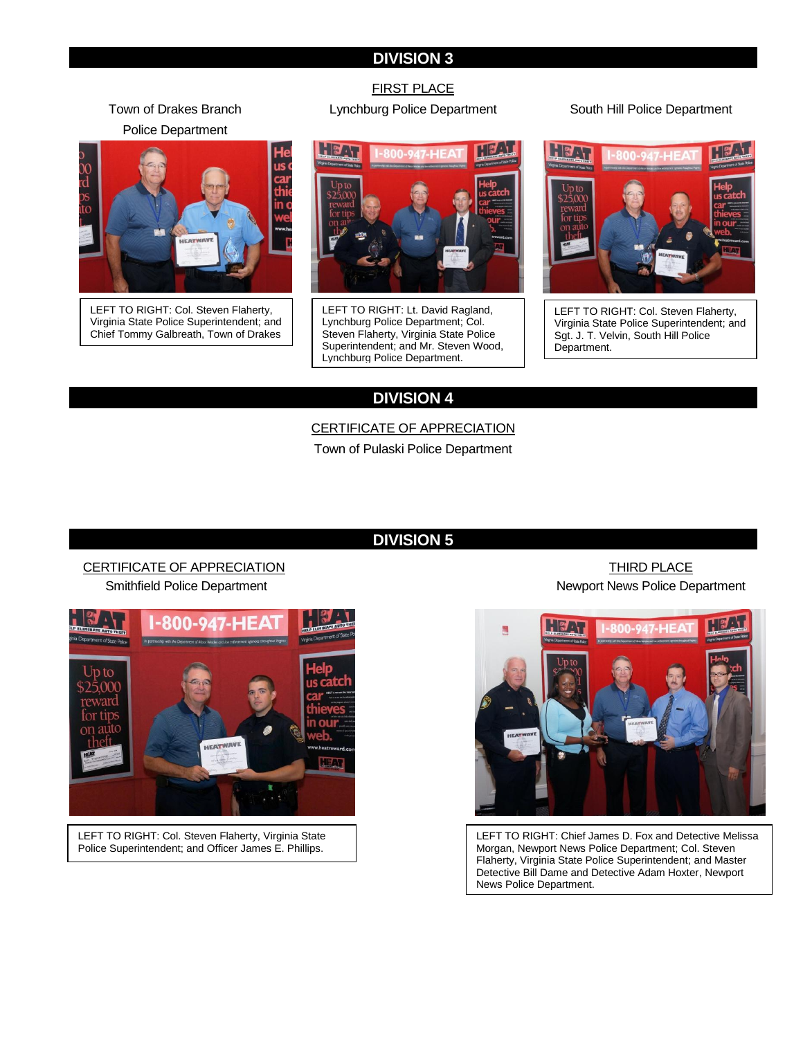### **DIVISION 3**

Town of Drakes Branch Police Department



LEFT TO RIGHT: Col. Steven Flaherty, Virginia State Police Superintendent; and Chief Tommy Galbreath, Town of Drakes

Branch Police Department.

#### FIRST PLACE Lynchburg Police Department South Hill Police Department



LEFT TO RIGHT: Lt. David Ragland, Lynchburg Police Department; Col. Steven Flaherty, Virginia State Police Superintendent; and Mr. Steven Wood, Lynchburg Police Department.



LEFT TO RIGHT: Col. Steven Flaherty, Virginia State Police Superintendent; and Sgt. J. T. Velvin, South Hill Police Department.

## **DIVISION 4**

CERTIFICATE OF APPRECIATION

Town of Pulaski Police Department

#### **DIVISION 5**

#### CERTIFICATE OF APPRECIATION Smithfield Police Department



LEFT TO RIGHT: Col. Steven Flaherty, Virginia State Police Superintendent; and Officer James E. Phillips.

THIRD PLACE Newport News Police Department



LEFT TO RIGHT: Chief James D. Fox and Detective Melissa Morgan, Newport News Police Department; Col. Steven Flaherty, Virginia State Police Superintendent; and Master Detective Bill Dame and Detective Adam Hoxter, Newport News Police Department.